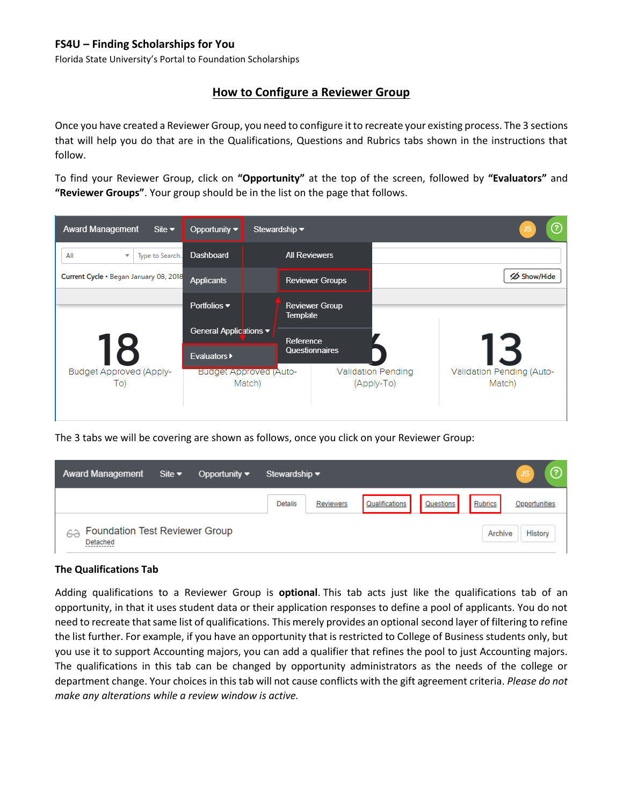Florida State University's Portal to Foundation Scholarships

# **How to Configure a Reviewer Group**

Once you have created a Reviewer Group, you need to configure it to recreate your existing process. The 3 sections that will help you do that are in the Qualifications, Questions and Rubrics tabs shown in the instructions that follow.

To find your Reviewer Group, click on **"Opportunity"** at the top of the screen, followed by **"Evaluators"** and **"Reviewer Groups"**. Your group should be in the list on the page that follows.



The 3 tabs we will be covering are shown as follows, once you click on your Reviewer Group:

| <b>Award Management</b>                          | Site $\blacktriangledown$ | Opportunity $\blacktriangledown$ | Stewardship $\blacktriangleright$ |           |                |           |                | ᢙ             |
|--------------------------------------------------|---------------------------|----------------------------------|-----------------------------------|-----------|----------------|-----------|----------------|---------------|
|                                                  |                           |                                  | <b>Details</b>                    | Reviewers | Qualifications | Questions | <b>Rubrics</b> | Opportunities |
| Foundation Test Reviewer Group<br>62<br>Detached |                           |                                  |                                   |           |                |           | Archive        | History       |

### **The Qualifications Tab**

Adding qualifications to a Reviewer Group is **optional**. This tab acts just like the qualifications tab of an opportunity, in that it uses student data or their application responses to define a pool of applicants. You do not need to recreate that same list of qualifications. This merely provides an optional second layer of filtering to refine the list further. For example, if you have an opportunity that is restricted to College of Business students only, but you use it to support Accounting majors, you can add a qualifier that refines the pool to just Accounting majors. The qualifications in this tab can be changed by opportunity administrators as the needs of the college or department change. Your choices in this tab will not cause conflicts with the gift agreement criteria. *Please do not make any alterations while a review window is active.*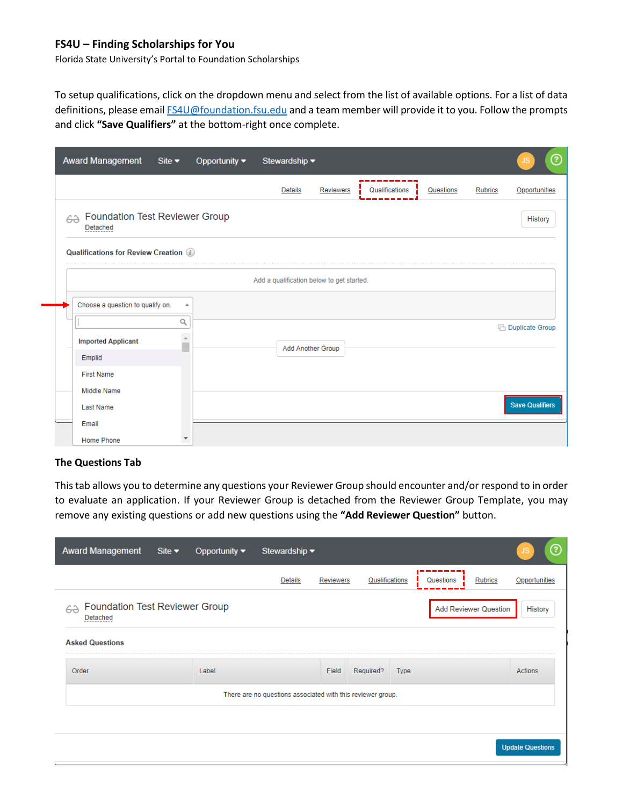Florida State University's Portal to Foundation Scholarships

To setup qualifications, click on the dropdown menu and select from the list of available options. For a list of data definitions, please email **FS4U@foundation.fsu.edu** and a team member will provide it to you. Follow the prompts and click **"Save Qualifiers"** at the bottom-right once complete.

| <b>Award Management</b>                          | Site $\blacktriangleright$ | Opportunity $\blacktriangledown$ | Stewardship v                             |           |                |           |         | ℗<br>JS                |
|--------------------------------------------------|----------------------------|----------------------------------|-------------------------------------------|-----------|----------------|-----------|---------|------------------------|
|                                                  |                            |                                  | Details                                   | Reviewers | Qualifications | Questions | Rubrics | Opportunities          |
| Foundation Test Reviewer Group<br>63<br>Detached |                            |                                  |                                           |           |                |           |         | History                |
| <b>Qualifications for Review Creation</b> (i)    |                            |                                  |                                           |           |                |           |         |                        |
|                                                  |                            |                                  | Add a qualification below to get started. |           |                |           |         |                        |
| Choose a question to qualify on.                 | ▲                          |                                  |                                           |           |                |           |         |                        |
|                                                  | Q                          |                                  |                                           |           |                |           |         | <b>Duplicate Group</b> |
| <b>Imported Applicant</b>                        | $\blacktriangle$<br>m      |                                  | Add Another Group                         |           |                |           |         |                        |
| Emplid                                           |                            |                                  |                                           |           |                |           |         |                        |
| <b>First Name</b>                                |                            |                                  |                                           |           |                |           |         |                        |
| <b>Middle Name</b>                               |                            |                                  |                                           |           |                |           |         |                        |
| <b>Last Name</b>                                 |                            |                                  |                                           |           |                |           |         | <b>Save Qualifiers</b> |
| Email                                            |                            |                                  |                                           |           |                |           |         |                        |
| <b>Home Phone</b>                                | $\overline{\phantom{a}}$   |                                  |                                           |           |                |           |         |                        |

#### **The Questions Tab**

This tab allows you to determine any questions your Reviewer Group should encounter and/or respond to in order to evaluate an application. If your Reviewer Group is detached from the Reviewer Group Template, you may remove any existing questions or add new questions using the **"Add Reviewer Question"** button.

| <b>Award Management</b>                           | Site $\blacktriangleright$ | Opportunity $\blacktriangledown$ | Stewardship $\blacktriangledown$                            |                  |                |             |           |                              | ⊘<br>JS                 |
|---------------------------------------------------|----------------------------|----------------------------------|-------------------------------------------------------------|------------------|----------------|-------------|-----------|------------------------------|-------------------------|
|                                                   |                            |                                  | Details                                                     | <b>Reviewers</b> | Qualifications |             | Questions | <b>Rubrics</b>               | Opportunities           |
| <b>Foundation Test Reviewer Group</b><br>Detached |                            |                                  |                                                             |                  |                |             |           | <b>Add Reviewer Question</b> | History                 |
| <b>Asked Questions</b>                            |                            |                                  |                                                             |                  |                |             |           |                              |                         |
| Order                                             |                            | Label                            |                                                             | Field            | Required?      | <b>Type</b> |           |                              | Actions                 |
|                                                   |                            |                                  | There are no questions associated with this reviewer group. |                  |                |             |           |                              |                         |
|                                                   |                            |                                  |                                                             |                  |                |             |           |                              |                         |
|                                                   |                            |                                  |                                                             |                  |                |             |           |                              | <b>Update Questions</b> |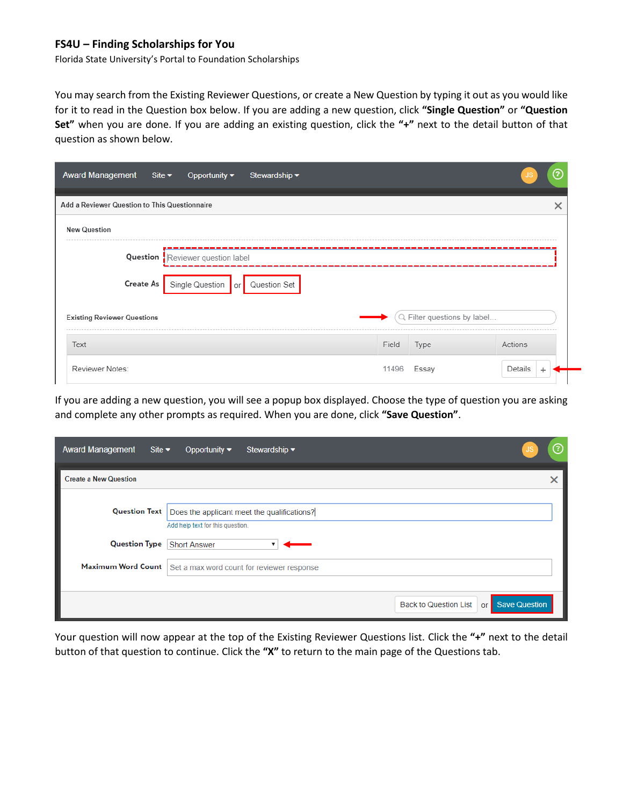Florida State University's Portal to Foundation Scholarships

You may search from the Existing Reviewer Questions, or create a New Question by typing it out as you would like for it to read in the Question box below. If you are adding a new question, click **"Single Question"** or **"Question Set"** when you are done. If you are adding an existing question, click the **"+"** next to the detail button of that question as shown below.

| Award Management Site v Opportunity v Stewardship v |              |       |                              |              | ၉ |
|-----------------------------------------------------|--------------|-------|------------------------------|--------------|---|
| Add a Reviewer Question to This Questionnaire       |              |       |                              |              | × |
| <b>New Question</b>                                 |              |       |                              |              |   |
| Question   Reviewer question label                  |              |       |                              |              |   |
| Create As   Single Question   or                    | Question Set |       |                              |              |   |
| <b>Existing Reviewer Questions</b>                  |              |       | Q. Filter questions by label |              |   |
| Text                                                |              | Field | Type                         | Actions      |   |
| Reviewer Notes:                                     |              | 11496 | Essay                        | Details<br>÷ |   |

If you are adding a new question, you will see a popup box displayed. Choose the type of question you are asking and complete any other prompts as required. When you are done, click **"Save Question"**.

| <b>Award Management</b><br>Site $\blacktriangledown$ | Stewardship •<br>Opportunity $\blacktriangledown$                               |                      | (?) |
|------------------------------------------------------|---------------------------------------------------------------------------------|----------------------|-----|
| <b>Create a New Question</b>                         |                                                                                 |                      |     |
| <b>Question Text</b>                                 | Does the applicant meet the qualifications?<br>Add help text for this question. |                      |     |
| <b>Question Type</b>                                 | <b>Short Answer</b>                                                             |                      |     |
| <b>Maximum Word Count</b>                            | Set a max word count for reviewer response                                      |                      |     |
|                                                      | Back to Question List<br><b>or</b>                                              | <b>Save Question</b> |     |

Your question will now appear at the top of the Existing Reviewer Questions list. Click the **"+"** next to the detail button of that question to continue. Click the **"X"** to return to the main page of the Questions tab.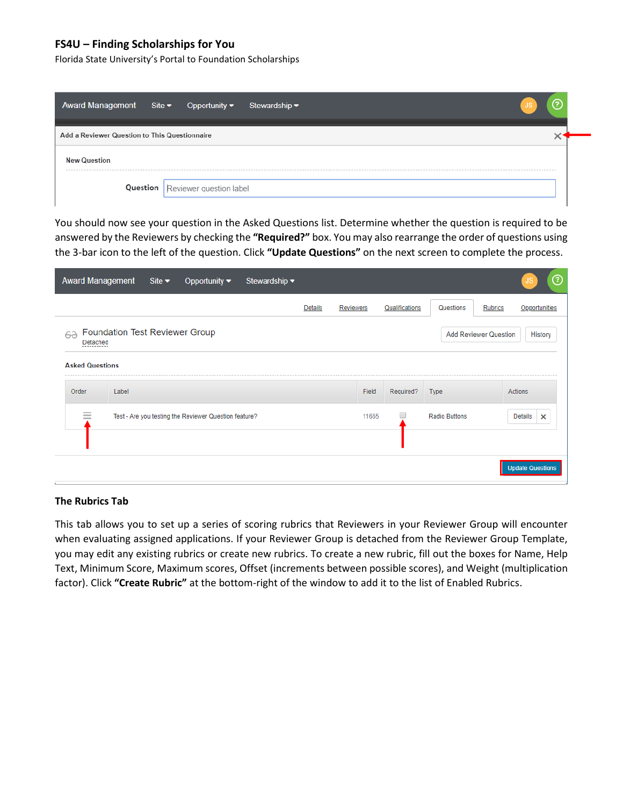Florida State University's Portal to Foundation Scholarships

|                                               | Award Management Site ▼ Opportunity ▼ Stewardship ▼ |  |
|-----------------------------------------------|-----------------------------------------------------|--|
| Add a Reviewer Question to This Questionnaire |                                                     |  |
| <b>New Question</b>                           |                                                     |  |
|                                               | <b>Question Reviewer question label</b>             |  |

You should now see your question in the Asked Questions list. Determine whether the question is required to be answered by the Reviewers by checking the **"Required?"** box. You may also rearrange the order of questions using the 3-bar icon to the left of the question. Click **"Update Questions"** on the next screen to complete the process.

| <b>Award Management</b>                                      |       | Site $\blacktriangleright$ | Opportunity $\blacktriangledown$                      | Stewardship • |         |                  |       |                |                      | alis-                        | $\circledcirc$          |
|--------------------------------------------------------------|-------|----------------------------|-------------------------------------------------------|---------------|---------|------------------|-------|----------------|----------------------|------------------------------|-------------------------|
|                                                              |       |                            |                                                       |               | Details | <b>Reviewers</b> |       | Qualifications | Questions            | Rubrics                      | Opportunities           |
| вa<br>Detached<br>-----------                                |       |                            | Foundation Test Reviewer Group                        |               |         |                  |       |                |                      | <b>Add Reviewer Question</b> | History                 |
| <b>Asked Questions</b>                                       |       |                            |                                                       |               |         |                  |       |                |                      |                              |                         |
| Order                                                        | Label |                            |                                                       |               |         |                  | Field | Required?      | Type                 | Actions                      |                         |
| $\frac{1}{2}$<br>$\qquad \qquad$<br>$\overline{\phantom{a}}$ |       |                            | Test - Are you testing the Reviewer Question feature? |               |         |                  | 11665 |                | <b>Radio Buttons</b> | Details                      | $\times$                |
|                                                              |       |                            |                                                       |               |         |                  |       |                |                      |                              |                         |
|                                                              |       |                            |                                                       |               |         |                  |       |                |                      |                              | <b>Update Questions</b> |

### **The Rubrics Tab**

This tab allows you to set up a series of scoring rubrics that Reviewers in your Reviewer Group will encounter when evaluating assigned applications. If your Reviewer Group is detached from the Reviewer Group Template, you may edit any existing rubrics or create new rubrics. To create a new rubric, fill out the boxes for Name, Help Text, Minimum Score, Maximum scores, Offset (increments between possible scores), and Weight (multiplication factor). Click **"Create Rubric"** at the bottom-right of the window to add it to the list of Enabled Rubrics.